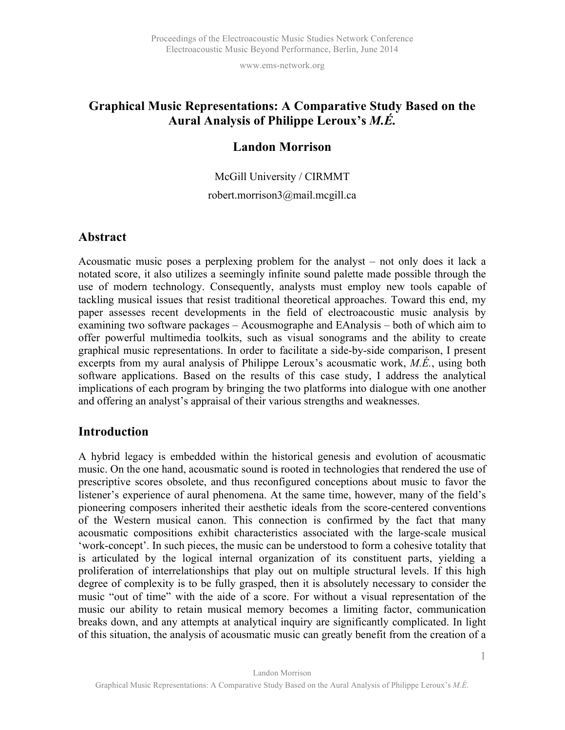# **Graphical Music Representations: A Comparative Study Based on the Aural Analysis of Philippe Leroux's** *M.É.*

# **Landon Morrison**

McGill University / CIRMMT

### robert.morrison3@mail.mcgill.ca

## **Abstract**

Acousmatic music poses a perplexing problem for the analyst – not only does it lack a notated score, it also utilizes a seemingly infinite sound palette made possible through the use of modern technology. Consequently, analysts must employ new tools capable of tackling musical issues that resist traditional theoretical approaches. Toward this end, my paper assesses recent developments in the field of electroacoustic music analysis by examining two software packages – Acousmographe and EAnalysis – both of which aim to offer powerful multimedia toolkits, such as visual sonograms and the ability to create graphical music representations. In order to facilitate a side-by-side comparison, I present excerpts from my aural analysis of Philippe Leroux's acousmatic work, *M.É.*, using both software applications. Based on the results of this case study, I address the analytical implications of each program by bringing the two platforms into dialogue with one another and offering an analyst's appraisal of their various strengths and weaknesses.

## **Introduction**

A hybrid legacy is embedded within the historical genesis and evolution of acousmatic music. On the one hand, acousmatic sound is rooted in technologies that rendered the use of prescriptive scores obsolete, and thus reconfigured conceptions about music to favor the listener's experience of aural phenomena. At the same time, however, many of the field's pioneering composers inherited their aesthetic ideals from the score-centered conventions of the Western musical canon. This connection is confirmed by the fact that many acousmatic compositions exhibit characteristics associated with the large-scale musical 'work-concept'. In such pieces, the music can be understood to form a cohesive totality that is articulated by the logical internal organization of its constituent parts, yielding a proliferation of interrelationships that play out on multiple structural levels. If this high degree of complexity is to be fully grasped, then it is absolutely necessary to consider the music "out of time" with the aide of a score. For without a visual representation of the music our ability to retain musical memory becomes a limiting factor, communication breaks down, and any attempts at analytical inquiry are significantly complicated. In light of this situation, the analysis of acousmatic music can greatly benefit from the creation of a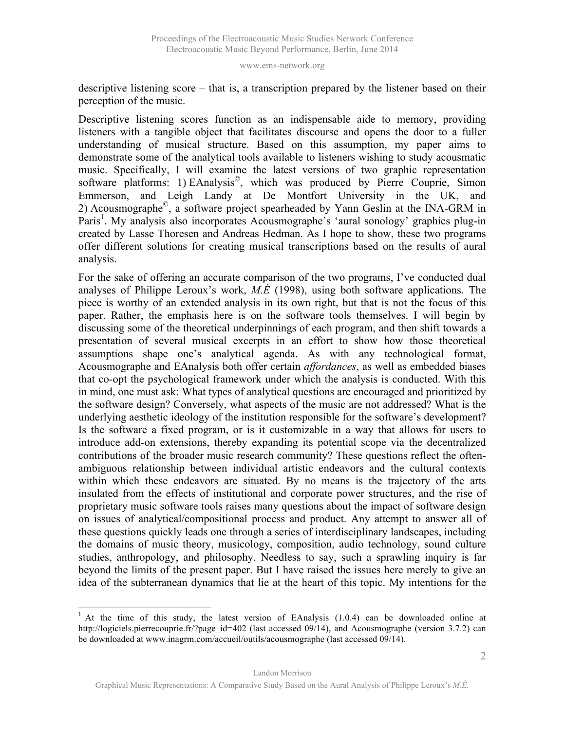descriptive listening score – that is, a transcription prepared by the listener based on their perception of the music.

Descriptive listening scores function as an indispensable aide to memory, providing listeners with a tangible object that facilitates discourse and opens the door to a fuller understanding of musical structure. Based on this assumption, my paper aims to demonstrate some of the analytical tools available to listeners wishing to study acousmatic music. Specifically, I will examine the latest versions of two graphic representation software platforms: 1) EAnalysis<sup>©</sup>, which was produced by Pierre Couprie, Simon Emmerson, and Leigh Landy at De Montfort University in the UK, and 2) Acousmographe©, a software project spearheaded by Yann Geslin at the INA-GRM in Paris<sup>1</sup>. My analysis also incorporates Acousmographe's 'aural sonology' graphics plug-in created by Lasse Thoresen and Andreas Hedman. As I hope to show, these two programs offer different solutions for creating musical transcriptions based on the results of aural analysis.

For the sake of offering an accurate comparison of the two programs, I've conducted dual analyses of Philippe Leroux's work, *M.É* (1998), using both software applications. The piece is worthy of an extended analysis in its own right, but that is not the focus of this paper. Rather, the emphasis here is on the software tools themselves. I will begin by discussing some of the theoretical underpinnings of each program, and then shift towards a presentation of several musical excerpts in an effort to show how those theoretical assumptions shape one's analytical agenda. As with any technological format, Acousmographe and EAnalysis both offer certain *affordances*, as well as embedded biases that co-opt the psychological framework under which the analysis is conducted. With this in mind, one must ask: What types of analytical questions are encouraged and prioritized by the software design? Conversely, what aspects of the music are not addressed? What is the underlying aesthetic ideology of the institution responsible for the software's development? Is the software a fixed program, or is it customizable in a way that allows for users to introduce add-on extensions, thereby expanding its potential scope via the decentralized contributions of the broader music research community? These questions reflect the oftenambiguous relationship between individual artistic endeavors and the cultural contexts within which these endeavors are situated. By no means is the trajectory of the arts insulated from the effects of institutional and corporate power structures, and the rise of proprietary music software tools raises many questions about the impact of software design on issues of analytical/compositional process and product. Any attempt to answer all of these questions quickly leads one through a series of interdisciplinary landscapes, including the domains of music theory, musicology, composition, audio technology, sound culture studies, anthropology, and philosophy. Needless to say, such a sprawling inquiry is far beyond the limits of the present paper. But I have raised the issues here merely to give an idea of the subterranean dynamics that lie at the heart of this topic. My intentions for the

<sup>&</sup>lt;sup>1</sup> At the time of this study, the latest version of EAnalysis  $(1.0.4)$  can be downloaded online at http://logiciels.pierrecouprie.fr/?page\_id=402 (last accessed 09/14), and Acousmographe (version 3.7.2) can be downloaded at www.inagrm.com/accueil/outils/acousmographe (last accessed 09/14).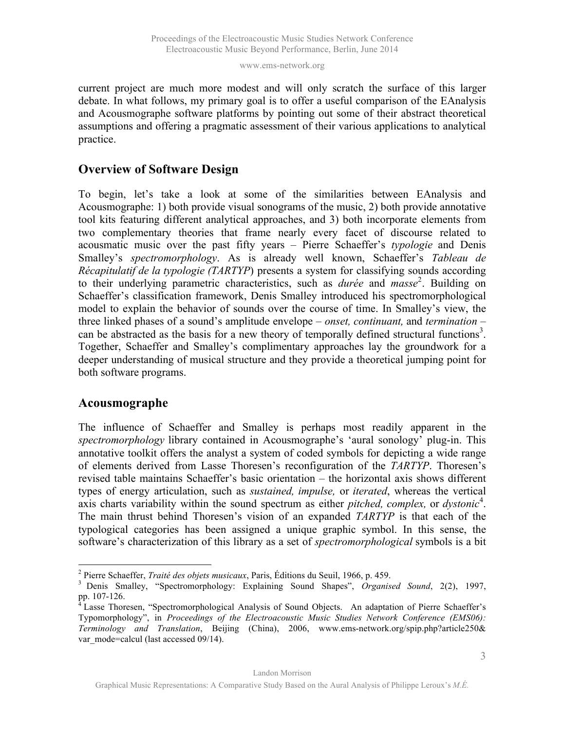current project are much more modest and will only scratch the surface of this larger debate. In what follows, my primary goal is to offer a useful comparison of the EAnalysis and Acousmographe software platforms by pointing out some of their abstract theoretical assumptions and offering a pragmatic assessment of their various applications to analytical practice.

# **Overview of Software Design**

To begin, let's take a look at some of the similarities between EAnalysis and Acousmographe: 1) both provide visual sonograms of the music, 2) both provide annotative tool kits featuring different analytical approaches, and 3) both incorporate elements from two complementary theories that frame nearly every facet of discourse related to acousmatic music over the past fifty years – Pierre Schaeffer's *typologie* and Denis Smalley's *spectromorphology*. As is already well known, Schaeffer's *Tableau de Récapitulatif de la typologie (TARTYP*) presents a system for classifying sounds according to their underlying parametric characteristics, such as *durée* and *masse* 2 . Building on Schaeffer's classification framework, Denis Smalley introduced his spectromorphological model to explain the behavior of sounds over the course of time. In Smalley's view, the three linked phases of a sound's amplitude envelope – *onset, continuant,* and *termination* – can be abstracted as the basis for a new theory of temporally defined structural functions<sup>3</sup>. Together, Schaeffer and Smalley's complimentary approaches lay the groundwork for a deeper understanding of musical structure and they provide a theoretical jumping point for both software programs.

## **Acousmographe**

The influence of Schaeffer and Smalley is perhaps most readily apparent in the *spectromorphology* library contained in Acousmographe's 'aural sonology' plug-in. This annotative toolkit offers the analyst a system of coded symbols for depicting a wide range of elements derived from Lasse Thoresen's reconfiguration of the *TARTYP*. Thoresen's revised table maintains Schaeffer's basic orientation – the horizontal axis shows different types of energy articulation, such as *sustained, impulse,* or *iterated*, whereas the vertical axis charts variability within the sound spectrum as either *pitched, complex,* or *dystonic*<sup>4</sup>. The main thrust behind Thoresen's vision of an expanded *TARTYP* is that each of the typological categories has been assigned a unique graphic symbol. In this sense, the software's characterization of this library as a set of *spectromorphological* symbols is a bit

<sup>&</sup>lt;sup>2</sup> Pierre Schaeffer, *Traité des objets musicaux*, Paris, Éditions du Seuil, 1966, p. 459.<br><sup>3</sup> Denis Smalley, "Spectromorphology: Explaining Sound Shapes", *Organised Sound*, 2(2), 1997, pp. 107-126.<br><sup>4</sup> Lasse Thoresen, "Spectromorphological Analysis of Sound Objects. An adaptation of Pierre Schaeffer's

Typomorphology", in *Proceedings of the Electroacoustic Music Studies Network Conference (EMS06): Terminology and Translation*, Beijing (China), 2006, www.ems-network.org/spip.php?article250& var\_mode=calcul (last accessed 09/14).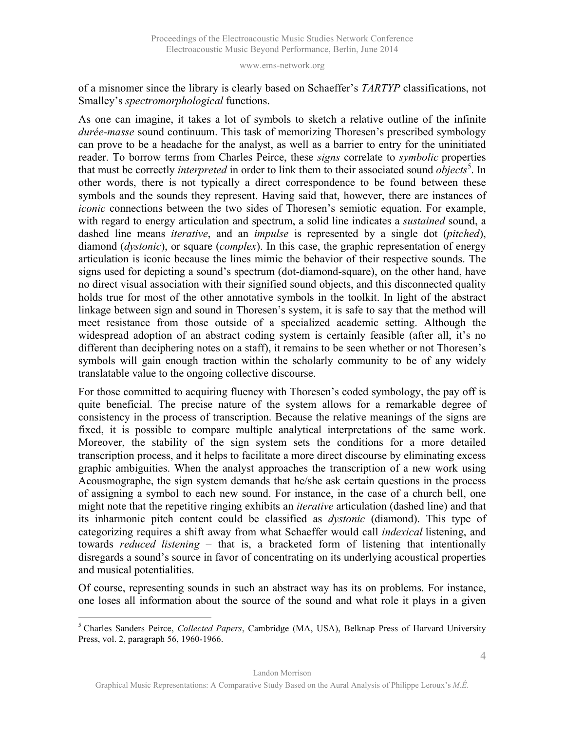of a misnomer since the library is clearly based on Schaeffer's *TARTYP* classifications, not Smalley's *spectromorphological* functions.

As one can imagine, it takes a lot of symbols to sketch a relative outline of the infinite *durée-masse* sound continuum. This task of memorizing Thoresen's prescribed symbology can prove to be a headache for the analyst, as well as a barrier to entry for the uninitiated reader. To borrow terms from Charles Peirce, these *signs* correlate to *symbolic* properties that must be correctly *interpreted* in order to link them to their associated sound *objects*<sup>5</sup>. In other words, there is not typically a direct correspondence to be found between these symbols and the sounds they represent. Having said that, however, there are instances of *iconic* connections between the two sides of Thoresen's semiotic equation. For example, with regard to energy articulation and spectrum, a solid line indicates a *sustained* sound, a dashed line means *iterative*, and an *impulse* is represented by a single dot (*pitched*), diamond (*dystonic*), or square (*complex*). In this case, the graphic representation of energy articulation is iconic because the lines mimic the behavior of their respective sounds. The signs used for depicting a sound's spectrum (dot-diamond-square), on the other hand, have no direct visual association with their signified sound objects, and this disconnected quality holds true for most of the other annotative symbols in the toolkit. In light of the abstract linkage between sign and sound in Thoresen's system, it is safe to say that the method will meet resistance from those outside of a specialized academic setting. Although the widespread adoption of an abstract coding system is certainly feasible (after all, it's no different than deciphering notes on a staff), it remains to be seen whether or not Thoresen's symbols will gain enough traction within the scholarly community to be of any widely translatable value to the ongoing collective discourse.

For those committed to acquiring fluency with Thoresen's coded symbology, the pay off is quite beneficial. The precise nature of the system allows for a remarkable degree of consistency in the process of transcription. Because the relative meanings of the signs are fixed, it is possible to compare multiple analytical interpretations of the same work. Moreover, the stability of the sign system sets the conditions for a more detailed transcription process, and it helps to facilitate a more direct discourse by eliminating excess graphic ambiguities. When the analyst approaches the transcription of a new work using Acousmographe, the sign system demands that he/she ask certain questions in the process of assigning a symbol to each new sound. For instance, in the case of a church bell, one might note that the repetitive ringing exhibits an *iterative* articulation (dashed line) and that its inharmonic pitch content could be classified as *dystonic* (diamond). This type of categorizing requires a shift away from what Schaeffer would call *indexical* listening, and towards *reduced listening* – that is, a bracketed form of listening that intentionally disregards a sound's source in favor of concentrating on its underlying acoustical properties and musical potentialities.

Of course, representing sounds in such an abstract way has its on problems. For instance, one loses all information about the source of the sound and what role it plays in a given

 <sup>5</sup> Charles Sanders Peirce, *Collected Papers*, Cambridge (MA, USA), Belknap Press of Harvard University Press, vol. 2, paragraph 56, 1960-1966.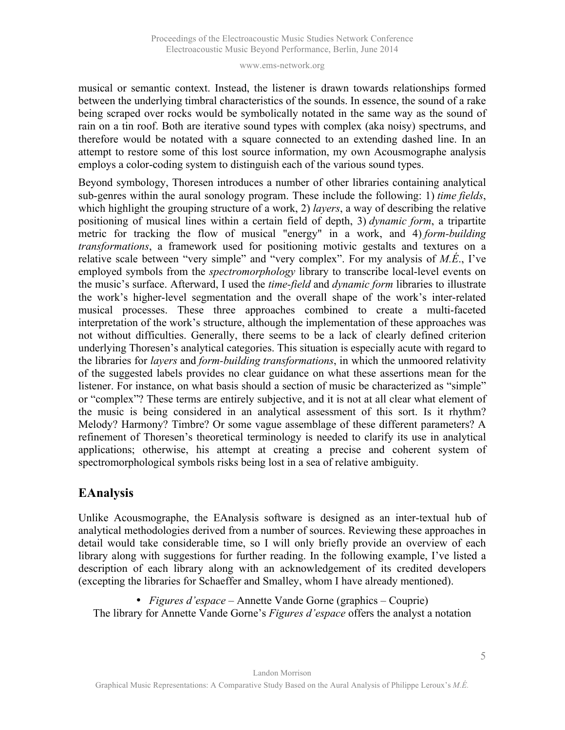musical or semantic context. Instead, the listener is drawn towards relationships formed between the underlying timbral characteristics of the sounds. In essence, the sound of a rake being scraped over rocks would be symbolically notated in the same way as the sound of rain on a tin roof. Both are iterative sound types with complex (aka noisy) spectrums, and therefore would be notated with a square connected to an extending dashed line. In an attempt to restore some of this lost source information, my own Acousmographe analysis employs a color-coding system to distinguish each of the various sound types.

Beyond symbology, Thoresen introduces a number of other libraries containing analytical sub-genres within the aural sonology program. These include the following: 1) *time fields*, which highlight the grouping structure of a work, 2) *layers*, a way of describing the relative positioning of musical lines within a certain field of depth, 3) *dynamic form*, a tripartite metric for tracking the flow of musical "energy" in a work, and 4) *form-building transformations*, a framework used for positioning motivic gestalts and textures on a relative scale between "very simple" and "very complex". For my analysis of *M.É*., I've employed symbols from the *spectromorphology* library to transcribe local-level events on the music's surface. Afterward, I used the *time-field* and *dynamic form* libraries to illustrate the work's higher-level segmentation and the overall shape of the work's inter-related musical processes. These three approaches combined to create a multi-faceted interpretation of the work's structure, although the implementation of these approaches was not without difficulties. Generally, there seems to be a lack of clearly defined criterion underlying Thoresen's analytical categories. This situation is especially acute with regard to the libraries for *layers* and *form-building transformations*, in which the unmoored relativity of the suggested labels provides no clear guidance on what these assertions mean for the listener. For instance, on what basis should a section of music be characterized as "simple" or "complex"? These terms are entirely subjective, and it is not at all clear what element of the music is being considered in an analytical assessment of this sort. Is it rhythm? Melody? Harmony? Timbre? Or some vague assemblage of these different parameters? A refinement of Thoresen's theoretical terminology is needed to clarify its use in analytical applications; otherwise, his attempt at creating a precise and coherent system of spectromorphological symbols risks being lost in a sea of relative ambiguity.

# **EAnalysis**

Unlike Acousmographe, the EAnalysis software is designed as an inter-textual hub of analytical methodologies derived from a number of sources. Reviewing these approaches in detail would take considerable time, so I will only briefly provide an overview of each library along with suggestions for further reading. In the following example, I've listed a description of each library along with an acknowledgement of its credited developers (excepting the libraries for Schaeffer and Smalley, whom I have already mentioned).

• *Figures d'espace* – Annette Vande Gorne (graphics – Couprie) The library for Annette Vande Gorne's *Figures d'espace* offers the analyst a notation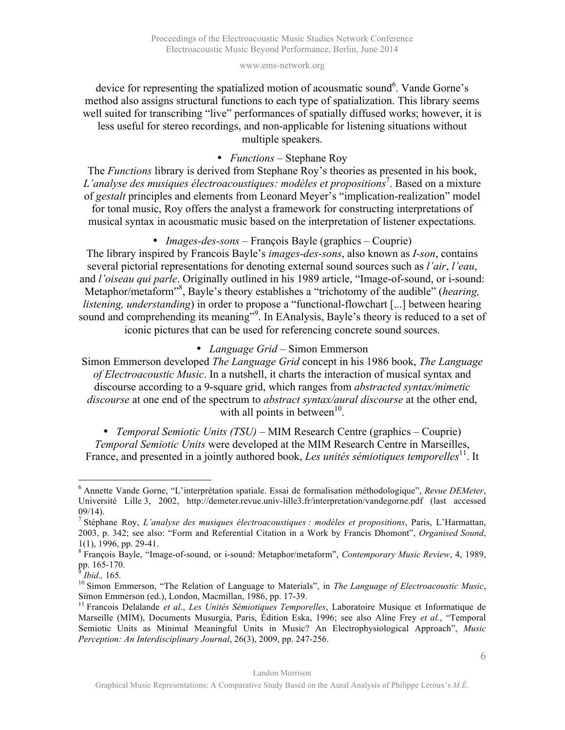device for representing the spatialized motion of acousmatic sound<sup>6</sup>. Vande Gorne's method also assigns structural functions to each type of spatialization. This library seems well suited for transcribing "live" performances of spatially diffused works; however, it is less useful for stereo recordings, and non-applicable for listening situations without multiple speakers.

### • *Functions* – Stephane Roy

The *Functions* library is derived from Stephane Roy's theories as presented in his book, *L'analyse des musiques électroacoustiques: modèles et propositions*<sup>7</sup> . Based on a mixture of *gestalt* principles and elements from Leonard Meyer's "implication-realization" model for tonal music, Roy offers the analyst a framework for constructing interpretations of musical syntax in acousmatic music based on the interpretation of listener expectations.

### • *Images-des-sons* – François Bayle (graphics – Couprie)

The library inspired by Francois Bayle's *images-des-sons*, also known as *I-son*, contains several pictorial representations for denoting external sound sources such as *l'air*, *l'eau*, and *l'oiseau qui parle*. Originally outlined in his 1989 article, "Image-of-sound, or i-sound: Metaphor/metaform<sup>38</sup>, Bayle's theory establishes a "trichotomy of the audible" (*hearing*, *listening, understanding*) in order to propose a "functional-flowchart [...] between hearing sound and comprehending its meaning"<sup>9</sup>. In EAnalysis, Bayle's theory is reduced to a set of iconic pictures that can be used for referencing concrete sound sources.

#### • *Language Grid* – Simon Emmerson

Simon Emmerson developed *The Language Grid* concept in his 1986 book, *The Language of Electroacoustic Music*. In a nutshell, it charts the interaction of musical syntax and discourse according to a 9-square grid, which ranges from *abstracted syntax/mimetic discourse* at one end of the spectrum to *abstract syntax/aural discourse* at the other end, with all points in between $10$ .

• *Temporal Semiotic Units (TSU)* – MIM Research Centre (graphics – Couprie) *Temporal Semiotic Units* were developed at the MIM Research Centre in Marseilles, France, and presented in a jointly authored book, *Les unités sémiotiques temporelles*<sup>11</sup>. It

 <sup>6</sup> Annette Vande Gorne, "L'interprétation spatiale. Essai de formalisation méthodologique", *Revue DEMeter*, Université Lille 3, 2002, http://demeter.revue.univ-lille3.fr/interpretation/vandegorne.pdf (last accessed 09/14). <sup>7</sup> Stéphane Roy, *L'analyse des musiques électroacoustiques : modèles et propositions*, Paris, L'Harmattan,

<sup>2003,</sup> p. 342; see also: "Form and Referential Citation in a Work by Francis Dhomont", *Organised Sound*,

<sup>1(1),</sup> 1996, pp. 29-41. <sup>8</sup> François Bayle, "Image-of-sound, or i-sound: Metaphor/metaform", *Contemporary Music Review*, 4, 1989,

<sup>&</sup>lt;sup>9</sup>*Ibid.*, 165.<br><sup>10</sup> Simon Emmerson, "The Relation of Language to Materials", in *The Language of Electroacoustic Music*,

Simon Emmerson (ed.), London, Macmillan, 1986, pp. 17-39.<br><sup>11</sup> Francois Delalande *et al., Les Unités Sémiotiques Temporelles*, Laboratoire Musique et Informatique de Marseille (MIM), Documents Musurgia, Paris, Édition Eska, 1996; see also Aline Frey *et al.*, "Temporal Semiotic Units as Minimal Meaningful Units in Music? An Electrophysiological Approach", *Music Perception: An Interdisciplinary Journal*, 26(3), 2009, pp. 247-256.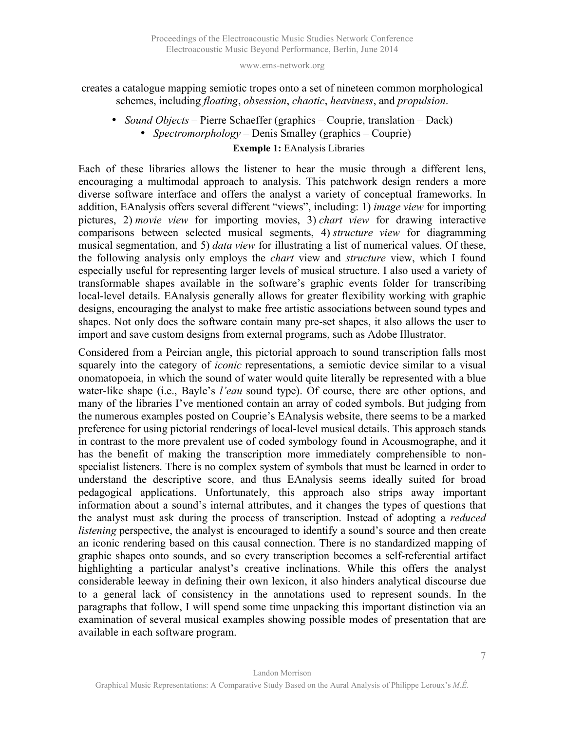### creates a catalogue mapping semiotic tropes onto a set of nineteen common morphological schemes, including *floating*, *obsession*, *chaotic*, *heaviness*, and *propulsion*.

• *Sound Objects* – Pierre Schaeffer (graphics – Couprie, translation – Dack) • *Spectromorphology* – Denis Smalley (graphics – Couprie)

#### **Exemple 1:** EAnalysis Libraries

Each of these libraries allows the listener to hear the music through a different lens, encouraging a multimodal approach to analysis. This patchwork design renders a more diverse software interface and offers the analyst a variety of conceptual frameworks. In addition, EAnalysis offers several different "views", including: 1) *image view* for importing pictures, 2) *movie view* for importing movies, 3) *chart view* for drawing interactive comparisons between selected musical segments, 4) *structure view* for diagramming musical segmentation, and 5) *data view* for illustrating a list of numerical values. Of these, the following analysis only employs the *chart* view and *structure* view, which I found especially useful for representing larger levels of musical structure. I also used a variety of transformable shapes available in the software's graphic events folder for transcribing local-level details. EAnalysis generally allows for greater flexibility working with graphic designs, encouraging the analyst to make free artistic associations between sound types and shapes. Not only does the software contain many pre-set shapes, it also allows the user to import and save custom designs from external programs, such as Adobe Illustrator.

Considered from a Peircian angle, this pictorial approach to sound transcription falls most squarely into the category of *iconic* representations, a semiotic device similar to a visual onomatopoeia, in which the sound of water would quite literally be represented with a blue water-like shape (i.e., Bayle's *l'eau* sound type). Of course, there are other options, and many of the libraries I've mentioned contain an array of coded symbols. But judging from the numerous examples posted on Couprie's EAnalysis website, there seems to be a marked preference for using pictorial renderings of local-level musical details. This approach stands in contrast to the more prevalent use of coded symbology found in Acousmographe, and it has the benefit of making the transcription more immediately comprehensible to nonspecialist listeners. There is no complex system of symbols that must be learned in order to understand the descriptive score, and thus EAnalysis seems ideally suited for broad pedagogical applications. Unfortunately, this approach also strips away important information about a sound's internal attributes, and it changes the types of questions that the analyst must ask during the process of transcription. Instead of adopting a *reduced listening* perspective, the analyst is encouraged to identify a sound's source and then create an iconic rendering based on this causal connection. There is no standardized mapping of graphic shapes onto sounds, and so every transcription becomes a self-referential artifact highlighting a particular analyst's creative inclinations. While this offers the analyst considerable leeway in defining their own lexicon, it also hinders analytical discourse due to a general lack of consistency in the annotations used to represent sounds. In the paragraphs that follow, I will spend some time unpacking this important distinction via an examination of several musical examples showing possible modes of presentation that are available in each software program.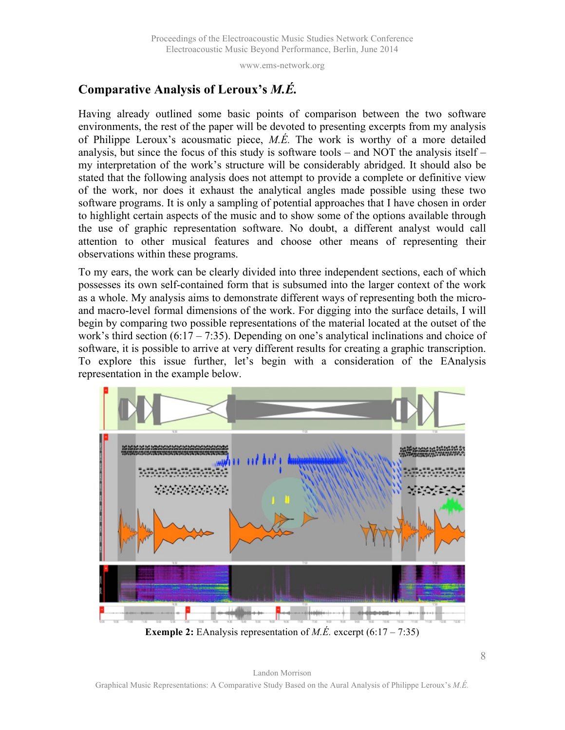# **Comparative Analysis of Leroux's** *M.É.*

Having already outlined some basic points of comparison between the two software environments, the rest of the paper will be devoted to presenting excerpts from my analysis of Philippe Leroux's acousmatic piece, *M.É.* The work is worthy of a more detailed analysis, but since the focus of this study is software tools – and NOT the analysis itself – my interpretation of the work's structure will be considerably abridged. It should also be stated that the following analysis does not attempt to provide a complete or definitive view of the work, nor does it exhaust the analytical angles made possible using these two software programs. It is only a sampling of potential approaches that I have chosen in order to highlight certain aspects of the music and to show some of the options available through the use of graphic representation software. No doubt, a different analyst would call attention to other musical features and choose other means of representing their observations within these programs.

To my ears, the work can be clearly divided into three independent sections, each of which possesses its own self-contained form that is subsumed into the larger context of the work as a whole. My analysis aims to demonstrate different ways of representing both the microand macro-level formal dimensions of the work. For digging into the surface details, I will begin by comparing two possible representations of the material located at the outset of the work's third section  $(6:17 - 7:35)$ . Depending on one's analytical inclinations and choice of software, it is possible to arrive at very different results for creating a graphic transcription. To explore this issue further, let's begin with a consideration of the EAnalysis representation in the example below.

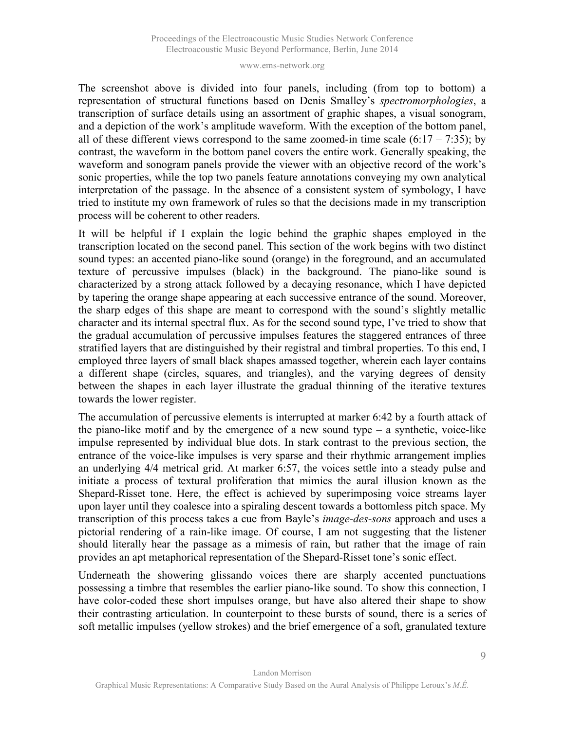The screenshot above is divided into four panels, including (from top to bottom) a representation of structural functions based on Denis Smalley's *spectromorphologies*, a transcription of surface details using an assortment of graphic shapes, a visual sonogram, and a depiction of the work's amplitude waveform. With the exception of the bottom panel, all of these different views correspond to the same zoomed-in time scale  $(6:17 - 7:35)$ ; by contrast, the waveform in the bottom panel covers the entire work. Generally speaking, the waveform and sonogram panels provide the viewer with an objective record of the work's sonic properties, while the top two panels feature annotations conveying my own analytical interpretation of the passage. In the absence of a consistent system of symbology, I have tried to institute my own framework of rules so that the decisions made in my transcription process will be coherent to other readers.

It will be helpful if I explain the logic behind the graphic shapes employed in the transcription located on the second panel. This section of the work begins with two distinct sound types: an accented piano-like sound (orange) in the foreground, and an accumulated texture of percussive impulses (black) in the background. The piano-like sound is characterized by a strong attack followed by a decaying resonance, which I have depicted by tapering the orange shape appearing at each successive entrance of the sound. Moreover, the sharp edges of this shape are meant to correspond with the sound's slightly metallic character and its internal spectral flux. As for the second sound type, I've tried to show that the gradual accumulation of percussive impulses features the staggered entrances of three stratified layers that are distinguished by their registral and timbral properties. To this end, I employed three layers of small black shapes amassed together, wherein each layer contains a different shape (circles, squares, and triangles), and the varying degrees of density between the shapes in each layer illustrate the gradual thinning of the iterative textures towards the lower register.

The accumulation of percussive elements is interrupted at marker 6:42 by a fourth attack of the piano-like motif and by the emergence of a new sound type  $-$  a synthetic, voice-like impulse represented by individual blue dots. In stark contrast to the previous section, the entrance of the voice-like impulses is very sparse and their rhythmic arrangement implies an underlying 4/4 metrical grid. At marker 6:57, the voices settle into a steady pulse and initiate a process of textural proliferation that mimics the aural illusion known as the Shepard-Risset tone. Here, the effect is achieved by superimposing voice streams layer upon layer until they coalesce into a spiraling descent towards a bottomless pitch space. My transcription of this process takes a cue from Bayle's *image-des-sons* approach and uses a pictorial rendering of a rain-like image. Of course, I am not suggesting that the listener should literally hear the passage as a mimesis of rain, but rather that the image of rain provides an apt metaphorical representation of the Shepard-Risset tone's sonic effect.

Underneath the showering glissando voices there are sharply accented punctuations possessing a timbre that resembles the earlier piano-like sound. To show this connection, I have color-coded these short impulses orange, but have also altered their shape to show their contrasting articulation. In counterpoint to these bursts of sound, there is a series of soft metallic impulses (yellow strokes) and the brief emergence of a soft, granulated texture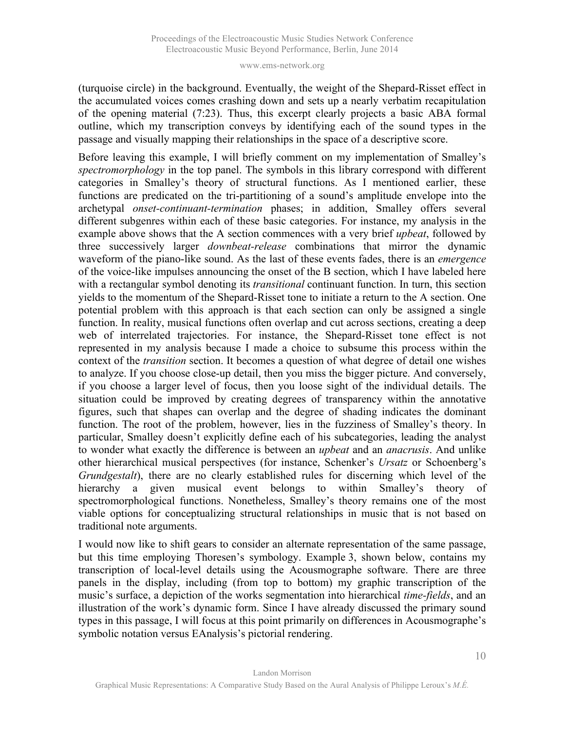(turquoise circle) in the background. Eventually, the weight of the Shepard-Risset effect in the accumulated voices comes crashing down and sets up a nearly verbatim recapitulation of the opening material (7:23). Thus, this excerpt clearly projects a basic ABA formal outline, which my transcription conveys by identifying each of the sound types in the passage and visually mapping their relationships in the space of a descriptive score.

Before leaving this example, I will briefly comment on my implementation of Smalley's *spectromorphology* in the top panel. The symbols in this library correspond with different categories in Smalley's theory of structural functions. As I mentioned earlier, these functions are predicated on the tri-partitioning of a sound's amplitude envelope into the archetypal *onset-continuant-termination* phases; in addition, Smalley offers several different subgenres within each of these basic categories. For instance, my analysis in the example above shows that the A section commences with a very brief *upbeat*, followed by three successively larger *downbeat-release* combinations that mirror the dynamic waveform of the piano-like sound. As the last of these events fades, there is an *emergence* of the voice-like impulses announcing the onset of the B section, which I have labeled here with a rectangular symbol denoting its *transitional* continuant function. In turn, this section yields to the momentum of the Shepard-Risset tone to initiate a return to the A section. One potential problem with this approach is that each section can only be assigned a single function. In reality, musical functions often overlap and cut across sections, creating a deep web of interrelated trajectories. For instance, the Shepard-Risset tone effect is not represented in my analysis because I made a choice to subsume this process within the context of the *transition* section. It becomes a question of what degree of detail one wishes to analyze. If you choose close-up detail, then you miss the bigger picture. And conversely, if you choose a larger level of focus, then you loose sight of the individual details. The situation could be improved by creating degrees of transparency within the annotative figures, such that shapes can overlap and the degree of shading indicates the dominant function. The root of the problem, however, lies in the fuzziness of Smalley's theory. In particular, Smalley doesn't explicitly define each of his subcategories, leading the analyst to wonder what exactly the difference is between an *upbeat* and an *anacrusis*. And unlike other hierarchical musical perspectives (for instance, Schenker's *Ursatz* or Schoenberg's *Grundgestalt*), there are no clearly established rules for discerning which level of the hierarchy a given musical event belongs to within Smalley's theory of spectromorphological functions. Nonetheless, Smalley's theory remains one of the most viable options for conceptualizing structural relationships in music that is not based on traditional note arguments.

I would now like to shift gears to consider an alternate representation of the same passage, but this time employing Thoresen's symbology. Example 3, shown below, contains my transcription of local-level details using the Acousmographe software. There are three panels in the display, including (from top to bottom) my graphic transcription of the music's surface, a depiction of the works segmentation into hierarchical *time-fields*, and an illustration of the work's dynamic form. Since I have already discussed the primary sound types in this passage, I will focus at this point primarily on differences in Acousmographe's symbolic notation versus EAnalysis's pictorial rendering.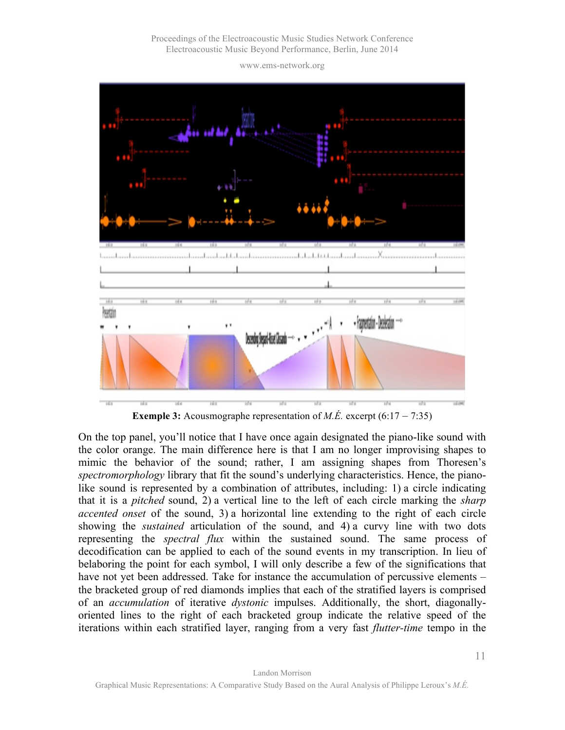Proceedings of the Electroacoustic Music Studies Network Conference Electroacoustic Music Beyond Performance, Berlin, June 2014

www.ems-network.org



**Exemple 3:** Acousmographe representation of *M.É.* excerpt  $(6.17 - 7.35)$ 

On the top panel, you'll notice that I have once again designated the piano-like sound with the color orange. The main difference here is that I am no longer improvising shapes to mimic the behavior of the sound; rather, I am assigning shapes from Thoresen's *spectromorphology* library that fit the sound's underlying characteristics. Hence, the pianolike sound is represented by a combination of attributes, including: 1) a circle indicating that it is a *pitched* sound, 2) a vertical line to the left of each circle marking the *sharp accented onset* of the sound, 3) a horizontal line extending to the right of each circle showing the *sustained* articulation of the sound, and 4) a curvy line with two dots representing the *spectral flux* within the sustained sound. The same process of decodification can be applied to each of the sound events in my transcription. In lieu of belaboring the point for each symbol, I will only describe a few of the significations that have not yet been addressed. Take for instance the accumulation of percussive elements – the bracketed group of red diamonds implies that each of the stratified layers is comprised of an *accumulation* of iterative *dystonic* impulses. Additionally, the short, diagonallyoriented lines to the right of each bracketed group indicate the relative speed of the iterations within each stratified layer, ranging from a very fast *flutter-time* tempo in the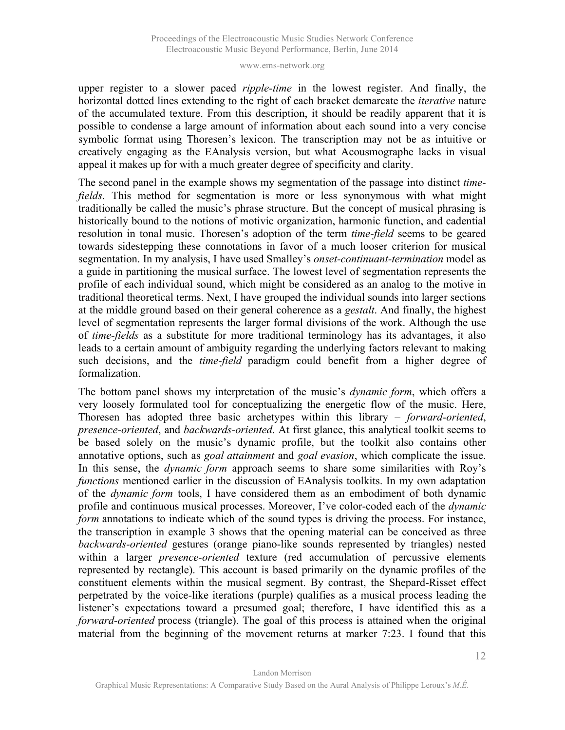upper register to a slower paced *ripple-time* in the lowest register. And finally, the horizontal dotted lines extending to the right of each bracket demarcate the *iterative* nature of the accumulated texture. From this description, it should be readily apparent that it is possible to condense a large amount of information about each sound into a very concise symbolic format using Thoresen's lexicon. The transcription may not be as intuitive or creatively engaging as the EAnalysis version, but what Acousmographe lacks in visual appeal it makes up for with a much greater degree of specificity and clarity.

The second panel in the example shows my segmentation of the passage into distinct *timefields*. This method for segmentation is more or less synonymous with what might traditionally be called the music's phrase structure. But the concept of musical phrasing is historically bound to the notions of motivic organization, harmonic function, and cadential resolution in tonal music. Thoresen's adoption of the term *time-field* seems to be geared towards sidestepping these connotations in favor of a much looser criterion for musical segmentation. In my analysis, I have used Smalley's *onset-continuant-termination* model as a guide in partitioning the musical surface. The lowest level of segmentation represents the profile of each individual sound, which might be considered as an analog to the motive in traditional theoretical terms. Next, I have grouped the individual sounds into larger sections at the middle ground based on their general coherence as a *gestalt*. And finally, the highest level of segmentation represents the larger formal divisions of the work. Although the use of *time-fields* as a substitute for more traditional terminology has its advantages, it also leads to a certain amount of ambiguity regarding the underlying factors relevant to making such decisions, and the *time-field* paradigm could benefit from a higher degree of formalization.

The bottom panel shows my interpretation of the music's *dynamic form*, which offers a very loosely formulated tool for conceptualizing the energetic flow of the music. Here, Thoresen has adopted three basic archetypes within this library – *forward-oriented*, *presence-oriented*, and *backwards-oriented*. At first glance, this analytical toolkit seems to be based solely on the music's dynamic profile, but the toolkit also contains other annotative options, such as *goal attainment* and *goal evasion*, which complicate the issue. In this sense, the *dynamic form* approach seems to share some similarities with Roy's *functions* mentioned earlier in the discussion of EAnalysis toolkits. In my own adaptation of the *dynamic form* tools, I have considered them as an embodiment of both dynamic profile and continuous musical processes. Moreover, I've color-coded each of the *dynamic form* annotations to indicate which of the sound types is driving the process. For instance, the transcription in example 3 shows that the opening material can be conceived as three *backwards-oriented* gestures (orange piano-like sounds represented by triangles) nested within a larger *presence-oriented* texture (red accumulation of percussive elements represented by rectangle). This account is based primarily on the dynamic profiles of the constituent elements within the musical segment. By contrast, the Shepard-Risset effect perpetrated by the voice-like iterations (purple) qualifies as a musical process leading the listener's expectations toward a presumed goal; therefore, I have identified this as a *forward-oriented* process (triangle). The goal of this process is attained when the original material from the beginning of the movement returns at marker 7:23. I found that this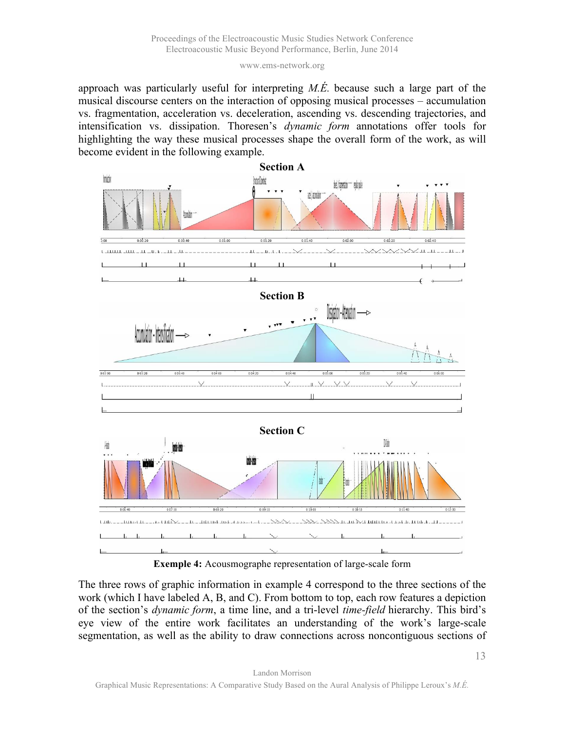approach was particularly useful for interpreting *M.É.* because such a large part of the musical discourse centers on the interaction of opposing musical processes – accumulation vs. fragmentation, acceleration vs. deceleration, ascending vs. descending trajectories, and intensification vs. dissipation. Thoresen's *dynamic form* annotations offer tools for highlighting the way these musical processes shape the overall form of the work, as will become evident in the following example.





The three rows of graphic information in example 4 correspond to the three sections of the work (which I have labeled A, B, and C). From bottom to top, each row features a depiction of the section's *dynamic form*, a time line, and a tri-level *time-field* hierarchy. This bird's eye view of the entire work facilitates an understanding of the work's large-scale segmentation, as well as the ability to draw connections across noncontiguous sections of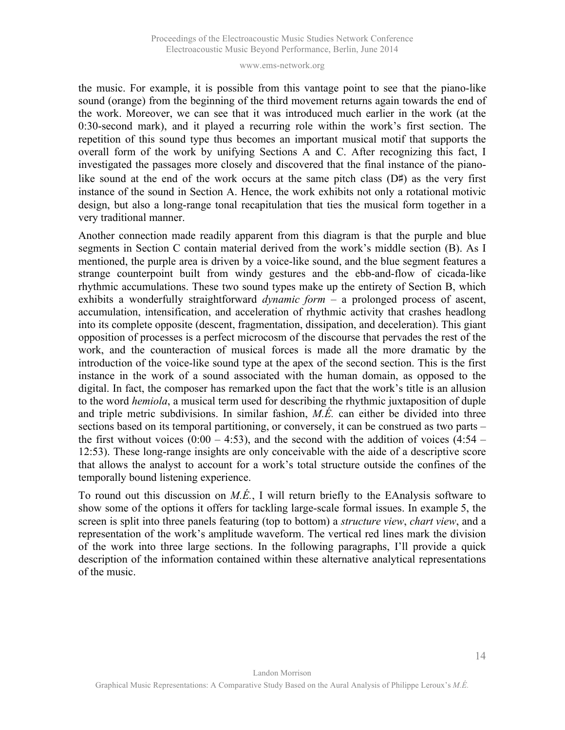the music. For example, it is possible from this vantage point to see that the piano-like sound (orange) from the beginning of the third movement returns again towards the end of the work. Moreover, we can see that it was introduced much earlier in the work (at the 0:30-second mark), and it played a recurring role within the work's first section. The repetition of this sound type thus becomes an important musical motif that supports the overall form of the work by unifying Sections A and C. After recognizing this fact, I investigated the passages more closely and discovered that the final instance of the pianolike sound at the end of the work occurs at the same pitch class (D♯) as the very first instance of the sound in Section A. Hence, the work exhibits not only a rotational motivic design, but also a long-range tonal recapitulation that ties the musical form together in a very traditional manner.

Another connection made readily apparent from this diagram is that the purple and blue segments in Section C contain material derived from the work's middle section (B). As I mentioned, the purple area is driven by a voice-like sound, and the blue segment features a strange counterpoint built from windy gestures and the ebb-and-flow of cicada-like rhythmic accumulations. These two sound types make up the entirety of Section B, which exhibits a wonderfully straightforward *dynamic form* – a prolonged process of ascent, accumulation, intensification, and acceleration of rhythmic activity that crashes headlong into its complete opposite (descent, fragmentation, dissipation, and deceleration). This giant opposition of processes is a perfect microcosm of the discourse that pervades the rest of the work, and the counteraction of musical forces is made all the more dramatic by the introduction of the voice-like sound type at the apex of the second section. This is the first instance in the work of a sound associated with the human domain, as opposed to the digital. In fact, the composer has remarked upon the fact that the work's title is an allusion to the word *hemiola*, a musical term used for describing the rhythmic juxtaposition of duple and triple metric subdivisions. In similar fashion, *M.É.* can either be divided into three sections based on its temporal partitioning, or conversely, it can be construed as two parts – the first without voices  $(0.00 - 4.53)$ , and the second with the addition of voices  $(4.54 -$ 12:53). These long-range insights are only conceivable with the aide of a descriptive score that allows the analyst to account for a work's total structure outside the confines of the temporally bound listening experience.

To round out this discussion on *M.É.*, I will return briefly to the EAnalysis software to show some of the options it offers for tackling large-scale formal issues. In example 5, the screen is split into three panels featuring (top to bottom) a *structure view*, *chart view*, and a representation of the work's amplitude waveform. The vertical red lines mark the division of the work into three large sections. In the following paragraphs, I'll provide a quick description of the information contained within these alternative analytical representations of the music.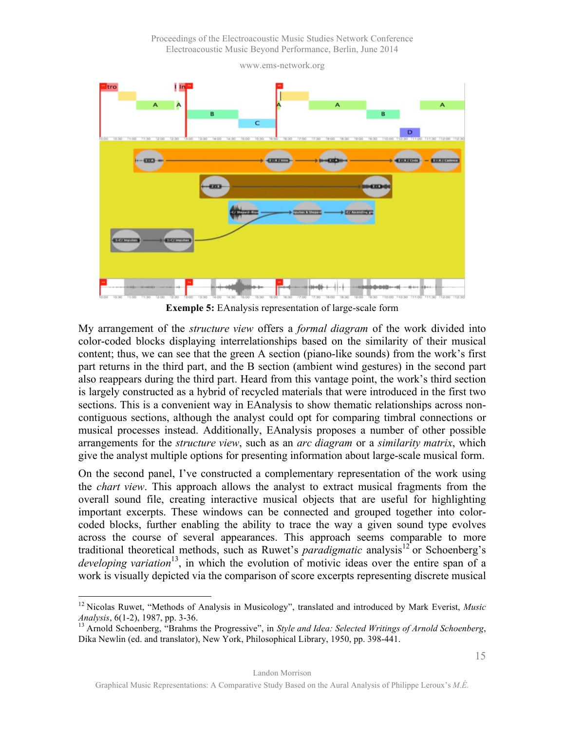Proceedings of the Electroacoustic Music Studies Network Conference Electroacoustic Music Beyond Performance, Berlin, June 2014

www.ems-network.org



**Exemple 5:** EAnalysis representation of large-scale form

My arrangement of the *structure view* offers a *formal diagram* of the work divided into color-coded blocks displaying interrelationships based on the similarity of their musical content; thus, we can see that the green A section (piano-like sounds) from the work's first part returns in the third part, and the B section (ambient wind gestures) in the second part also reappears during the third part. Heard from this vantage point, the work's third section is largely constructed as a hybrid of recycled materials that were introduced in the first two sections. This is a convenient way in EAnalysis to show thematic relationships across noncontiguous sections, although the analyst could opt for comparing timbral connections or musical processes instead. Additionally, EAnalysis proposes a number of other possible arrangements for the *structure view*, such as an *arc diagram* or a *similarity matrix*, which give the analyst multiple options for presenting information about large-scale musical form.

On the second panel, I've constructed a complementary representation of the work using the *chart view*. This approach allows the analyst to extract musical fragments from the overall sound file, creating interactive musical objects that are useful for highlighting important excerpts. These windows can be connected and grouped together into colorcoded blocks, further enabling the ability to trace the way a given sound type evolves across the course of several appearances. This approach seems comparable to more traditional theoretical methods, such as Ruwet's *paradigmatic* analysis<sup>12</sup> or Schoenberg's *developing variation*<sup>13</sup>, in which the evolution of motivic ideas over the entire span of a work is visually depicted via the comparison of score excerpts representing discrete musical

Landon Morrison

<sup>&</sup>lt;sup>12</sup> Nicolas Ruwet, "Methods of Analysis in Musicology", translated and introduced by Mark Everist, *Music Analysis*, 6(1-2), 1987, pp. 3-36.

<sup>&</sup>lt;sup>13</sup> Arnold Schoenberg, "Brahms the Progressive", in *Style and Idea: Selected Writings of Arnold Schoenberg*, Dika Newlin (ed. and translator), New York, Philosophical Library, 1950, pp. 398-441.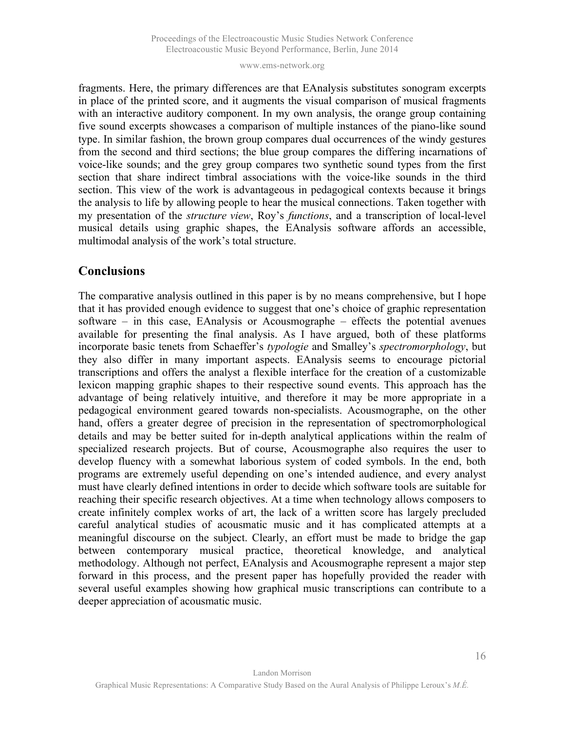fragments. Here, the primary differences are that EAnalysis substitutes sonogram excerpts in place of the printed score, and it augments the visual comparison of musical fragments with an interactive auditory component. In my own analysis, the orange group containing five sound excerpts showcases a comparison of multiple instances of the piano-like sound type. In similar fashion, the brown group compares dual occurrences of the windy gestures from the second and third sections; the blue group compares the differing incarnations of voice-like sounds; and the grey group compares two synthetic sound types from the first section that share indirect timbral associations with the voice-like sounds in the third section. This view of the work is advantageous in pedagogical contexts because it brings the analysis to life by allowing people to hear the musical connections. Taken together with my presentation of the *structure view*, Roy's *functions*, and a transcription of local-level musical details using graphic shapes, the EAnalysis software affords an accessible, multimodal analysis of the work's total structure.

## **Conclusions**

The comparative analysis outlined in this paper is by no means comprehensive, but I hope that it has provided enough evidence to suggest that one's choice of graphic representation software – in this case, EAnalysis or Acousmographe – effects the potential avenues available for presenting the final analysis. As I have argued, both of these platforms incorporate basic tenets from Schaeffer's *typologie* and Smalley's *spectromorphology*, but they also differ in many important aspects. EAnalysis seems to encourage pictorial transcriptions and offers the analyst a flexible interface for the creation of a customizable lexicon mapping graphic shapes to their respective sound events. This approach has the advantage of being relatively intuitive, and therefore it may be more appropriate in a pedagogical environment geared towards non-specialists. Acousmographe, on the other hand, offers a greater degree of precision in the representation of spectromorphological details and may be better suited for in-depth analytical applications within the realm of specialized research projects. But of course, Acousmographe also requires the user to develop fluency with a somewhat laborious system of coded symbols. In the end, both programs are extremely useful depending on one's intended audience, and every analyst must have clearly defined intentions in order to decide which software tools are suitable for reaching their specific research objectives. At a time when technology allows composers to create infinitely complex works of art, the lack of a written score has largely precluded careful analytical studies of acousmatic music and it has complicated attempts at a meaningful discourse on the subject. Clearly, an effort must be made to bridge the gap between contemporary musical practice, theoretical knowledge, and analytical methodology. Although not perfect, EAnalysis and Acousmographe represent a major step forward in this process, and the present paper has hopefully provided the reader with several useful examples showing how graphical music transcriptions can contribute to a deeper appreciation of acousmatic music.